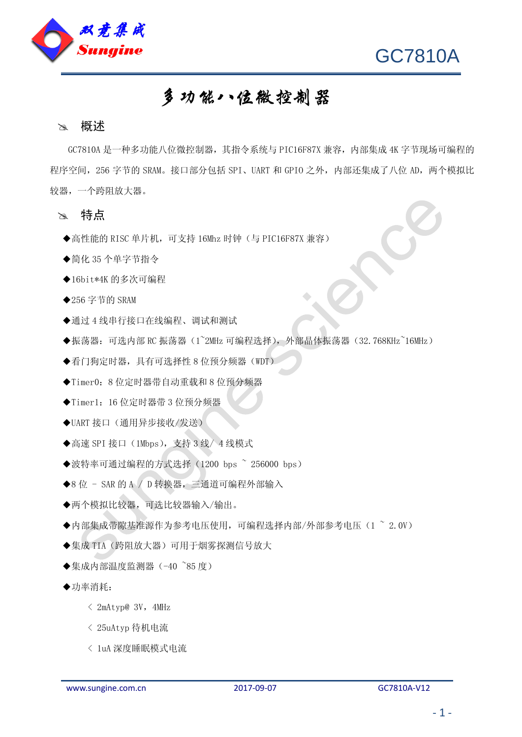



# 多功能八位微控制器

#### 》 概述

GC7810A 是一种多功能八位微控制器,其指令系统与 PIC16F87X 兼容,内部集成 4K 字节现场可编程的 程序空间, 256 字节的 SRAM。接口部分包括 SPI、UART 和 GPIO 之外, 内部还集成了八位 AD, 两个模拟比 较器,一个跨阻放大器。

#### 特点

- ◆高性能的 RISC 单片机, 可支持 16Mhz 时钟(与 PIC16F87X 兼容)
- ◆简化 35 个单字节指令
- ◆16bit\*4K 的多次可编程
- ◆256 字节的 SRAM
- ◆通过 4 线串行接口在线编程、调试和测试
- ◆振荡器: 可选内部 RC 振荡器(1~2MHz 可编程选择), 外部晶体振荡器(32.768KHz~16MHz)
- ◆看门狗定时器,具有可选择性 8 位预分频器(WDT)
- ◆Timer0:8 位定时器带自动重载和 8 位预分频器
- ◆Timer1: 16 位定时器带 3 位预分频器
- ◆UART 接口(通用异步接收/发送)
- ◆高速 SPI 接口 (1Mbps), 支持 3 线/ 4 线模式
- ◆波特率可通过编程的方式选择 (1200 bps ~ 256000 bps)
- ◆8 位 SAR 的 A / D 转换器,三通道可编程外部输入
- ◆两个模拟比较器,可选比较器输入/输出。
- ◆内部集成帯隙基准源作为参考电压使用,可编程选择内部/外部参考电压(1 ~ 2.0V)
- ◆集成 TIA(跨阻放大器)可用于烟雾探测信号放大
- ◆集成内部温度监测器 (-40 ~85 度)
- ◆功率消耗:
	- $\langle$  2mAtyp@ 3V, 4MHz
	- < 25uAtyp 待机电流
	- < 1uA 深度睡眠模式电流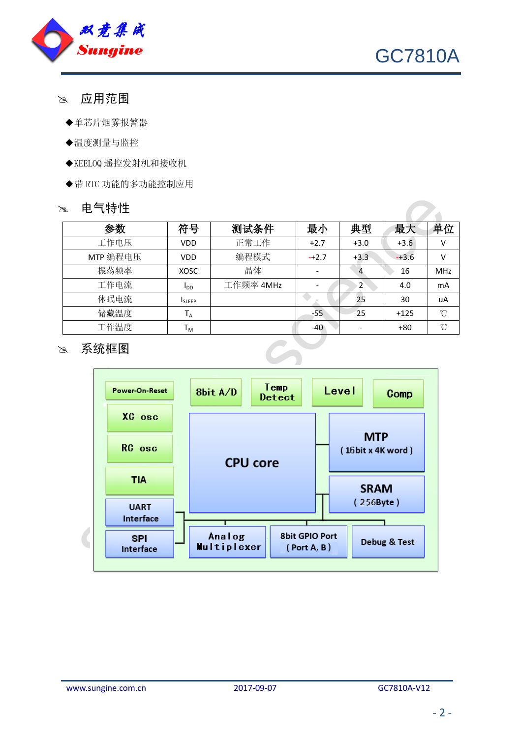



 $\overline{\phantom{a}}$ 

- 应用范围
	- ◆单芯片烟雾报警器
	- ◆温度测量与监控
	- ◆KEELOQ 遥控发射机和接收机
	- ◆带 RTC 功能的多功能控制应用

#### 28 电气特性

| 参数       | 符号                     | 测试条件      | 最小      | 典型             | 最大      | 单位              |
|----------|------------------------|-----------|---------|----------------|---------|-----------------|
| 工作电压     | <b>VDD</b>             | 正常工作      | $+2.7$  | $+3.0$         | $+3.6$  | $\vee$          |
| MTP 编程电压 | <b>VDD</b>             | 编程模式      | $-+2.7$ | $+3.3$         | $-+3.6$ | $\vee$          |
| 振荡频率     | <b>XOSC</b>            | 晶体        |         |                | 16      | <b>MHz</b>      |
| 工作电流     | <b>I</b> <sub>DD</sub> | 工作频率 4MHz |         | $\overline{2}$ | 4.0     | mA              |
| 休眠电流     | <b>ISLEEP</b>          |           |         | 25             | 30      | uA              |
| 储藏温度     | $T_A$                  |           | $-55$   | 25             | $+125$  | $\rm ^{\circ}C$ |
| 工作温度     | Т <sub>м</sub>         |           | $-40$   |                | $+80$   | °C              |

## 28 系统框图

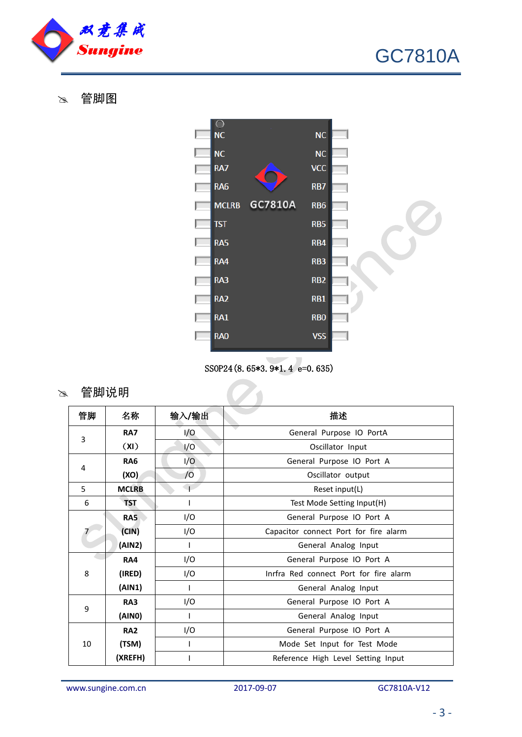

管脚图



SS0P24(8.65\*3.9\*1.4 e=0.635)

 $\overline{a}$ 

28 管脚说明

| 管脚 | 名称           | 输入/输出 | 描述                                     |  |  |
|----|--------------|-------|----------------------------------------|--|--|
| 3  | <b>RA7</b>   | I/O   | General Purpose IO PortA               |  |  |
|    | (XI)         | 1/O   | Oscillator Input                       |  |  |
| 4  | <b>RA6</b>   | 1/O   | General Purpose IO Port A              |  |  |
|    | (XO)         | /0    | Oscillator output                      |  |  |
| 5  | <b>MCLRB</b> |       | Reset input(L)                         |  |  |
| 6  | <b>TST</b>   | T     | Test Mode Setting Input(H)             |  |  |
|    | <b>RA5</b>   | I/O   | General Purpose IO Port A              |  |  |
|    | (CIN)        | I/O   | Capacitor connect Port for fire alarm  |  |  |
|    | (AIN2)       | T     | General Analog Input                   |  |  |
|    | <b>RA4</b>   | I/O   | General Purpose IO Port A              |  |  |
| 8  | (IRED)       | I/O   | Inrfra Red connect Port for fire alarm |  |  |
|    | (AIN1)       | T     | General Analog Input                   |  |  |
| 9  | <b>RA3</b>   | I/O   | General Purpose IO Port A              |  |  |
|    | (AINO)       | T     | General Analog Input                   |  |  |
| 10 | <b>RA2</b>   | I/O   | General Purpose IO Port A              |  |  |
|    | (TSM)        |       | Mode Set Input for Test Mode           |  |  |
|    | (XREFH)      |       | Reference High Level Setting Input     |  |  |

www.sungine.com.cn 2017-09-07 2017-09-07 GC7810A-V12

GC7810A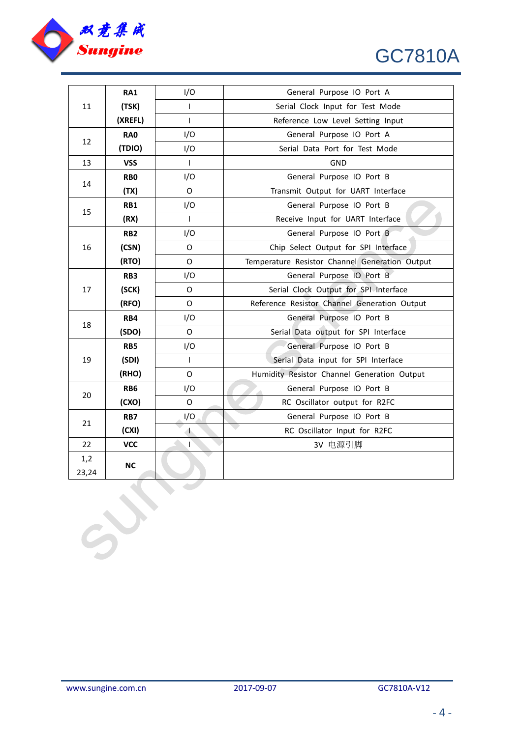

# GC7810A

| 11    | RA1             | I/O          | General Purpose IO Port A                      |  |  |
|-------|-----------------|--------------|------------------------------------------------|--|--|
|       | (TSK)           | T            | Serial Clock Input for Test Mode               |  |  |
|       | (XREFL)         | T            | Reference Low Level Setting Input              |  |  |
| 12    | <b>RA0</b>      | I/O          | General Purpose IO Port A                      |  |  |
|       | (TDIO)          | I/O          | Serial Data Port for Test Mode                 |  |  |
| 13    | <b>VSS</b>      | T            | <b>GND</b>                                     |  |  |
| 14    | RB <sub>0</sub> | I/O          | General Purpose IO Port B                      |  |  |
|       | (TX)            | $\Omega$     | Transmit Output for UART Interface             |  |  |
| 15    | <b>RB1</b>      | I/O          | General Purpose IO Port B                      |  |  |
|       | (RX)            | T            | Receive Input for UART Interface               |  |  |
| 16    | RB <sub>2</sub> | I/O          | General Purpose IO Port B                      |  |  |
|       | (CSN)           | O            | Chip Select Output for SPI Interface           |  |  |
|       | (RTO)           | $\Omega$     | Temperature Resistor Channel Generation Output |  |  |
| 17    | RB <sub>3</sub> | I/O          | General Purpose IO Port B                      |  |  |
|       | (SCK)           | O            | Serial Clock Output for SPI Interface          |  |  |
|       | (RFO)           | $\Omega$     | Reference Resistor Channel Generation Output   |  |  |
|       | RB4             | I/O          | General Purpose IO Port B                      |  |  |
| 18    | (SDO)           | 0            | Serial Data output for SPI Interface           |  |  |
|       | RB5             | I/O          | General Purpose IO Port B                      |  |  |
| 19    | (SDI)           | $\mathbf{I}$ | Serial Data input for SPI Interface            |  |  |
|       | (RHO)           | 0            | Humidity Resistor Channel Generation Output    |  |  |
| 20    | RB <sub>6</sub> | I/O          | General Purpose IO Port B                      |  |  |
|       | (CXO)           | O            | RC Oscillator output for R2FC                  |  |  |
| 21    | RB7             | I/O          | General Purpose IO Port B                      |  |  |
|       | (CXI)           | 木            | RC Oscillator Input for R2FC                   |  |  |
| 22    | <b>VCC</b>      | T            | 3V 电源引脚                                        |  |  |
| 1,2   | <b>NC</b>       |              |                                                |  |  |
| 23,24 |                 |              |                                                |  |  |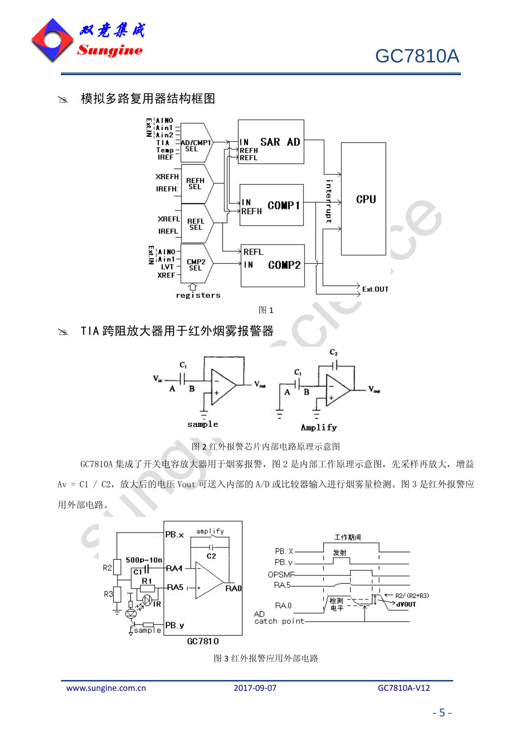

GC7810A

### 28 模拟多路复用器结构框图



 $\infty$  TIA 跨阻放大器用于红外烟雾报警器



图 2 红外报警芯片内部电路原理示意图

GC7810A 集成了开关电容放大器用于烟雾报警, 图 2 是内部工作原理示意图, 先采样再放大, 增益 Av = C1 / C2,放大后的电压 Vout 可送入内部的 A/D 或比较器输入进行烟雾量检测。图 3 是红外报警应 用外部电路。